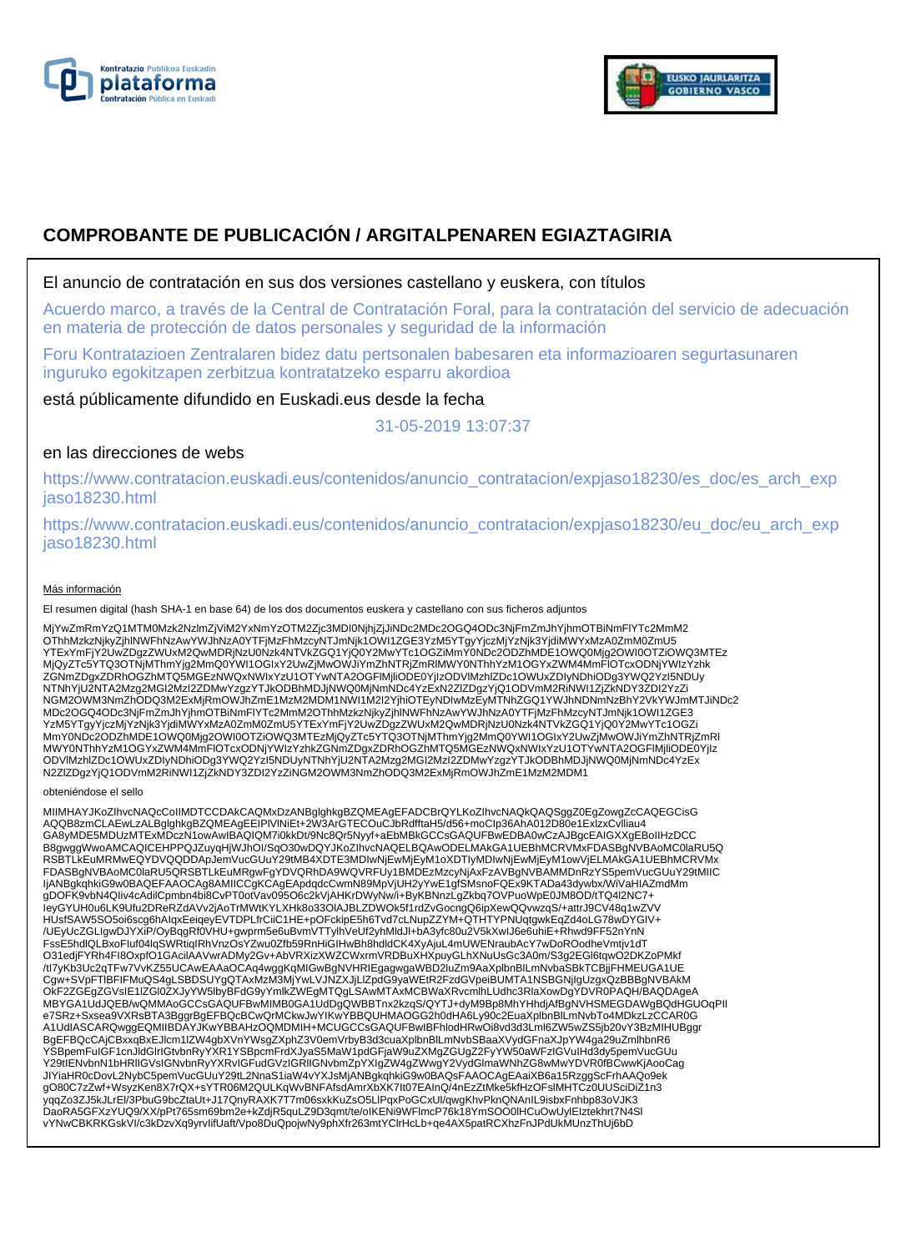



# **COMPROBANTE DE PUBLICACIÓN / ARGITALPENAREN EGIAZTAGIRIA**

## El anuncio de contratación en sus dos versiones castellano y euskera, con títulos

Acuerdo marco, a través de la Central de Contratación Foral, para la contratación del servicio de adecuación en materia de protección de datos personales y seguridad de la información

Foru Kontratazioen Zentralaren bidez datu pertsonalen babesaren eta informazioaren segurtasunaren inguruko egokitzapen zerbitzua kontratatzeko esparru akordioa

está públicamente difundido en Euskadi.eus desde la fecha

31-05-2019 13:07:37

# en las direcciones de webs

https://www.contratacion.euskadi.eus/contenidos/anuncio\_contratacion/expjaso18230/es\_doc/es\_arch\_exp jaso18230.html

https://www.contratacion.euskadi.eus/contenidos/anuncio\_contratacion/expjaso18230/eu\_doc/eu\_arch\_exp jaso18230.html

### Más información

El resumen digital (hash SHA-1 en base 64) de los dos documentos euskera y castellano con sus ficheros adjuntos

MjYwZmRmYzQ1MTM0Mzk2NzlmZjViM2YxNmYzOTM2Zjc3MDI0NjhjZjJiNDc2MDc2OGQ4ODc3NjFmZmJhYjhmOTBiNmFlYTc2MmM2<br>OThhMzkzNjkyZjhlNWFhNzAwYWJhNzA0YTFjMzFhMzcyNTJmNjk1OWI1ZGE3YzM5YTgyYjczMjYzNjk3YjdiMWYxMzA0ZmM0ZmU5 YTExYmFjY2UwZDgzZWUxM2QwMDRjNzU0Nzk4NTVkZGQ1YjQ0Y2MwYTc1OGZiMmY0NDc2ODZhMDE1OWQ0Mjg2OWI0OTZiOWQ3MTEz<br>MjQyZTc5YTQ3OTNjMThmYjg2MmQ0YWI1OGIxY2UwZjMwOWJiYmZhNTRjZmRlMWY0NThhYzM1OGYxZWM4MmFlOTcxODNjYWIzYzhk ZGNmZDgxZDRhOGZhMTQ5MGEzNWQxNWIxYzU1OTYwNTA2OGFlMjliODE0YjIzODVlMzhlZDc1OWUxZDIyNDhiODg3YWQ2YzI5NDUy NTNhYjU2NTA2Mzg2MGI2MzI2ZDMwYzgzYTJkODBhMDJjNWQ0MjNmNDc4YzExN2ZlZDgzYjQ1ODVmM2RiNWI1ZjZkNDY3ZDI2YzZi NGM2OWM3NmZhODQ3M2ExMjRmOWJhZmE1MzM2MDM1NWI1M2I2YjhiOTEyNDIwMzEyMTNhZGQ1YWJhNDNmNzBhY2VkYWJmMTJiNDc2 MDc2OGQ4ODc3NjFmZmJhYjhmOTBiNmFlYTc2MmM2OThhMzkzNjkyZjhlNWFhNzAwYWJhNzA0YTFjMzFhMzcyNTJmNjk1OWI1ZGE3 YzM5YTgyYjczMjYzNjk3YjdiMWYxMzA0ZmM0ZmU5YTExYmFjY2UwZDgzZWUxM2QwMDRjNzU0Nzk4NTVkZGQ1YjQ0Y2MwYTc1OGZi<br>MmY0NDc2ODZhMDE1OWQ0Mjg2OWI0OTZiOWQ3MTEzMjQyZTc5YTQ3OTNjMThmYjg2MmQ0YWI1OGIxY2UwZjMwOWJiYmZhNTRjZmRI MWY0NThhYzM1OGYxZWM4MmFlOTcxODNjYWIzYzhkZGNmZDgxZDRhOGZhMTQ5MGEzNWQxNWIxYzU1OTYwNTA2OGFlMjliODE0YjIz<br>ODVIMzhIZDc1OWUxZDIyNDhiODg3YWQ2YzI5NDUyNTNhYjU2NTA2Mzg2MGI2MzI2ZDMwYzgzYTJkODBhMDJjNWQ0MjNmNDc4YzEx N2ZlZDgzYjQ1ODVmM2RiNWI1ZjZkNDY3ZDI2YzZiNGM2OWM3NmZhODQ3M2ExMjRmOWJhZmE1MzM2MDM1

#### obteniéndose el sello

MIIMHAYJKoZIhvcNAQcCoIIMDTCCDAkCAQMxDzANBglghkgBZQMEAgEFADCBrQYLKoZIhvcNAQkQAQSggZ0EgZowgZcCAQEGCisG<br>AQQB8zmCLAEwLzALBglghkgBZQMEAgEEIPIVINiEt+2W3ArGTECOuCJbRdfftaH5/d56+moClp36AhA012D80e1ExlzxCvlliau4 GA8yMDE5MDUzMTExMDczN1owAwIBAQIQM7i0kkDt/9Nc8Qr5Nyyf+aEbMBkGCCsGAQUFBwEDBA0wCzAJBgcEAIGXXgEBoIIHzDCC B8gwggWwoAMCAQICEHPPQJZuyqHjWJhOI/SqO30wDQYJKoZIhvcNAQELBQAwODELMAkGA1UEBhMCRVMxFDASBgNVBAoMC0laRU5Q RSBTLkEuMRMwEQYDVQQDDApJemVucGUuY29tMB4XDTE3MDIwNjEwMjEyM1oXDTIyMDIwNjEwMjEyM1owVjELMAkGA1UEBhMCRVMx FDASBgNVBAoMC0laRU5QRSBTLkEuMRgwFgYDVQRhDA9WQVRFUy1BMDEzMzcyNjAxFzAVBgNVBAMMDnRzYS5pemVucGUuY29tMIIC ljANBgkqhkiG9w0BAQEFAAOCAg8AMIICCgKCAgEApdqdcCwmN89MpVjUH2yYwE1gfSMsnoFQEx9KTADa43dywbx/WiVaHIAZmdMm<br>gDOFK9vbN4Qliv4cAdilCpmbn4bi8CvPT0otVav095O6c2kVjAHKrDWyNw/i+ByKBNnzLgZkbq7OVPuoWpE0JM8OD/tTQ4l2NC7+ leyGYUH0u6LK9Ufu2DReRZdAVv2jAoTrMWtKYLXHk8o33OlAJBLZDWOk5f1rdZvGocngQ6ipXewQQvwzqS/+attrJ9CV48q1wZVV<br>HUsfSAW5SO5oi6scg6hAIqxEeiqeyEVTDPLfrCiiC1HE+pOFckipE5h6Tvd7cLNupZZYM+QTHTYPNUqtgwkEqZd4oLG78wDYGIV+ /UEyUcZGLIgwDJYXiP/OyBqgRf0VHU+gwprm5e6uBvmVTTylhVeUf2yhMldJl+bA3yfc80u2V5kXwIJ6e6uhiE+Rhwd9FF52nYnN FssE5hdlQLBxoFIuf04lqSWRtiqIRhVnzOsYZwu0Zfb59RnHiGIHwBh8hdldCK4XyAjuL4mUWENraubAcY7wDoROodheVmtjv1dT O31edjFYRh4FI8OxpfO1GAcilAAVwrADMy2Gv+AbVRXizXWZCWxrmVRDBuXHXpuyGLhXNuUsGc3A0m/S3g2EGl6tqwO2DKZoPMkf /tI7yKb3Uc2qTFw7VvKZ55UCAwEAAaOCAq4wggKqMIGwBgNVHRIEgagwgaWBD2luZm9AaXplbnBlLmNvbaSBkTCBjjFHMEUGA1UE Cgw+SVpFTlBFIFMuQS4gLSBDSUYgQTAxMzM3MjYwLVJNZXJjLlZpdG9yaWEtR2FzdGVpeiBUMTA1NSBGNjIgUzgxQzBBBgNVBAkM OkF2ZGEgZGVsIE1IZGI0ZXJyYW5lbyBFdG9yYmlkZWEgMTQgLSAwMTAxMCBWaXRvcmlhLUdhc3RlaXowDgYDVR0PAQH/BAQDAgeA<br>MBYGA1UdJQEB/wQMMAoGCCsGAQUFBwMIMB0GA1UdDgQWBBTnx2kzqS/QYTJ+dyM9Bp8MhYHhdjAfBgNVHSMEGDAWgBQdHGUOqPII<br>e7SRz+Sxsea9VXRsBTA3 A1UdIASCARQwggEQMIIBDAYJKwYBBAHzOQMDMIH+MCUGCCsGAQUFBwIBFhlodHRwOi8vd3d3Lml6ZW5wZS5jb20vY3BzMIHUBggr BgEFBQcCAjCBxxqBxEJlcm1lZW4gbXVnYWsgZXphZ3V0emVrbyB3d3cuaXplbnBlLmNvbSBaaXVydGFnaXJpYW4ga29uZmlhbnR6 YSBpemFuIGF1cnJldGlrIGtvbnRyYXR1YSBpcmFrdXJyaS5MaW1pdGFjaW9uZXMgZGUgZ2FyYW50aWFzIGVuIHd3dy5pemVucGUu Y29tIENvbnN1bHRlIGVsIGNvbnRyYXRvIGFudGVzIGRlIGNvbmZpYXIgZW4gZWwgY2VydGlmaWNhZG8wMwYDVR0fBCwwKjAooCag JIYiaHR0cDovL2NybC5pemVucGUuY29tL2NnaS1iaW4vYXJsMjANBgkqhkiG9w0BAQsFAAOCAgEAaiXB6a15RzggScFrhAAQo9ek gO80C7zZwf+WsyzKen8X7rQX+sYTR06M2QULKqWvBNFAfsdAmrXbXK7It07EAInQ/4nEzZtMke5kfHzOFslMHTCz0UUSciDiZ1n3 yqqZo3ZJ5kJLrEl/3PbuG9bcZtaUt+J17QnyRAXK7T7m06sxkKuZsO5LlPqxPoGCxUl/qwgKhvPknQNAnIL9isbxFnhbp83oVJK3<br>DaoRA5GFXzYUQ9/XX/pPt765sm69bm2e+kZdjR5quLZ9D3qmt/te/oIKENi9WFlmcP76k18YmSOO0lHCuOwUylEIztekhrt7N4Sl vYNwCBKRKGskVI/c3kDzvXq9yrvIifUaft/Vpo8DuQpojwNy9phXfr263mtYClrHcLb+qe4AX5patRCXhzFnJPdUkMUnzThUj6bD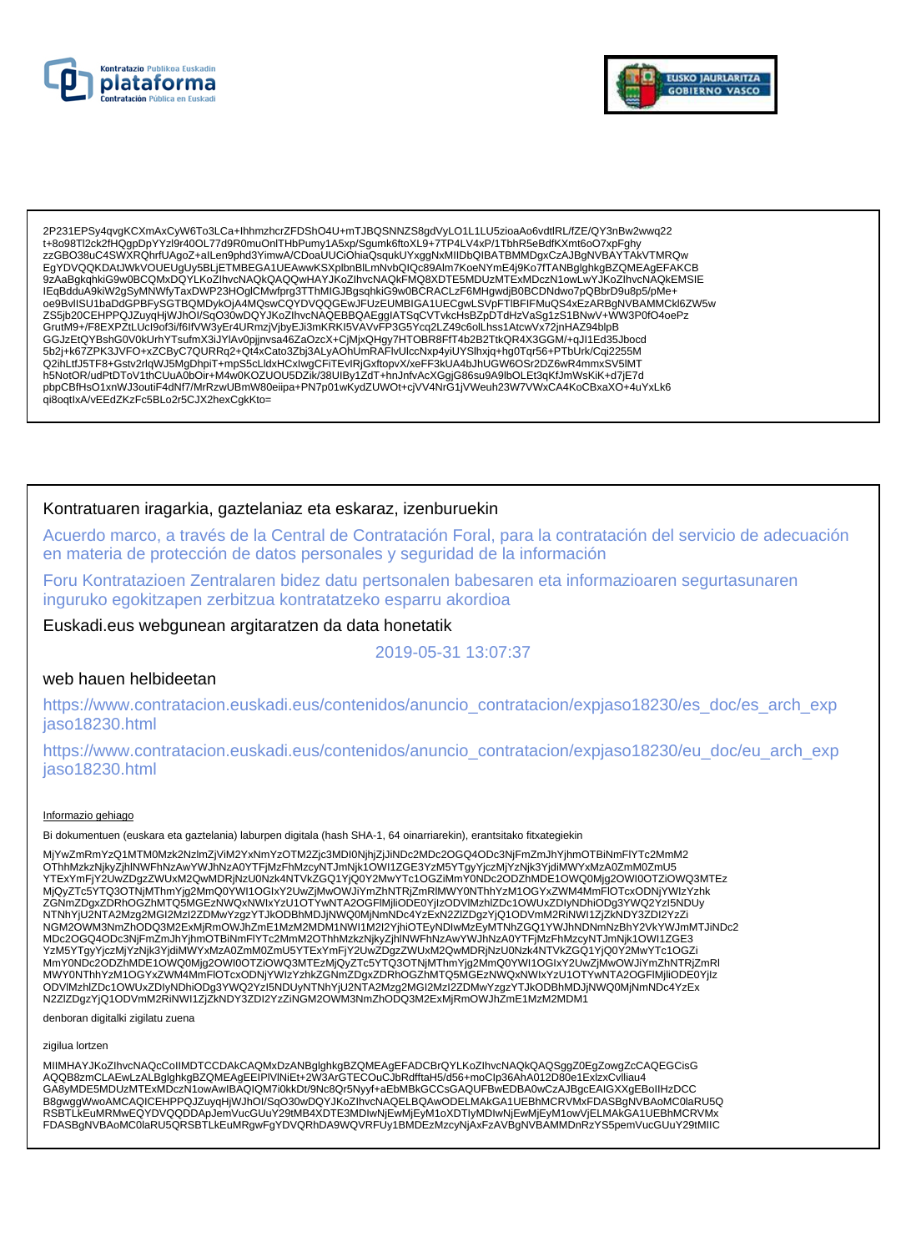



2P231EPSy4qvgKCXmAxCyW6To3LCa+lhhmzhcrZFDShO4U+mTJBQSNNZS8gdVyLO1L1LU5zioaAo6vdtlRL/fZE/QY3nBw2wwq22 t+8o98Tl2ck2fHQqpDpYYzl9r40OL77d9R0muOnITHbPumy1A5xp/Squmk6ftoXL9+7TP4LV4xP/1TbhR5eBdfKXmt6oO7xpFqhy 9ZAaBgkqhkiG9w0BCQMxDQYLKoZIhvcNAQkQAQQwHAYJKoZIhvcNAQkFMQ8XDTE5MDUzMTExMDczN1owLwYJKoZIhvcNAQkEMSIE IEqBdduA9kiW2gSyMNWfyTaxDWP23HOglCMwfprg3TThMIGJBgsqhkiG9w0BCRACLzF6MHgwdjB0BCDNdwo7pQBbrD9u8p5/pMe+ oe9BvllSU1baDdGPBFySGTBQMDykOjA4MQswCQYDVQQGEwJFUzEUMBIGA1UECgwLSVpFTIBFIFMuQS4xEzARBgNVBAMMCkl6ZW5w ZS5jb20CEHPPQJZuyqHjWJhOI/SqO30wDQYJKoZIhvcNAQEBBQAEggIATSqCVTvkcHsBZpDTdHzVaSg1zS1BNwV+WW3P0fO4oePz – CoutM9+/F8EXP2tLUcl9of3i/f6lfVW3yEr4URmzjVjbyEJi3mKRKI5VAVvFP3G5Ycq2LZ49c6olLhss1AtcwVx72jnHAZ94blpB<br>GrutM9+/F8EXP2tLUcl9of3i/f6lfVW3yEr4URmzjVjbyEJi3mKRKI5VAVvFP3G5Ycq2LZ49c6olLhss1AtcwVx72jnHAZ94blpB<br>GGJzEtQYBshG0V0kU 5b2j+k67ZPK3JVFO+xZCByC7QURRq2+Qt4xCato3Zbj3ALyAOhUmRAFIvUlccNxp4yiUYSlhxjq+hg0Tqr56+PTbUrk/Cqi2255M Q2ihLtfJ5TF8+Gstv2rlqWJ5MgDhpiT+mpS5cLldxHCxIwgCFiTEvIRjGxftopvX/xeFF3kUA4bJhUGW6OSr2DZ6wR4mmxSV5lMT h5NotOR/udPtDToV1thCUuA0bOir+M4w0KOZUOU5DZIK/38UIBy1ZdT+hnJnfvAcXGgjG86su9A9lbOLEt3qKfJmWsKiK+d7jE7d pbpCBfHsO1xnWJ3outiF4dNf7/MrRzwUBmW80eiipa+PN7p01wKydZUWOt+cjVV4NrG1jVWeuh23W7VWxCA4KoCBxaXO+4uYxLk6 qi8oqtlxA/vEEdZKzFc5BLo2r5CJX2hexCgkKto=

### Kontratuaren iragarkia, gaztelaniaz eta eskaraz, izenburuekin

Acuerdo marco, a través de la Central de Contratación Foral, para la contratación del servicio de adecuación en materia de protección de datos personales y seguridad de la información

Foru Kontratazioen Zentralaren bidez datu pertsonalen babesaren eta informazioaren segurtasunaren inguruko egokitzapen zerbitzua kontratatzeko esparru akordioa

Euskadi.eus webgunean argitaratzen da data honetatik

2019-05-31 13:07:37

### web hauen helbideetan

https://www.contratacion.euskadi.eus/contenidos/anuncio\_contratacion/expjaso18230/es\_doc/es\_arch\_exp jaso18230.html

https://www.contratacion.euskadi.eus/contenidos/anuncio contratacion/expjaso18230/eu doc/eu arch exp jaso18230.html

### Informazio gehiago

Bi dokumentuen (euskara eta gaztelania) laburpen digitala (hash SHA-1, 64 oinarriarekin), erantsitako fitxategiekin

MjYwZmRmYzQ1MTM0Mzk2NzImZjViM2YxNmYzOTM2Zjc3MDI0NjhjZjJiNDc2MDc2OGQ4ODc3NjFmZmJhYjhmOTBiNmFlYTc2MmM2 OThhMzkzNjkyZjhINWFhNzAwYWJhNzA0YTFjMzFhMzcyNTJmNjk1OWI1ZGE3YzM5YTgyYjczMjYzNjk3YjdiMWYxMzA0ZmM0ZmU5 YTExYmFjY2UwZDgzZWUxM2QwMDRjNzU0Nzk4NTVkZGQ1YjQ0Y2MwYTc1OGZiMmY0NDc2ODZńMDE1OWQ0Mjg2OWI0OTZiOWQ3MTEz NGM2OWM3NmZhODQ3M2ExMjRmOWJhZmE1MzM2MDM1NWI1M2I2YjhiOTEyNDIwMzEyMTNhZGQ1YWJhNDNmNzBhY2VkYWJmMTJiNDc2 MDc2OGQ4ODc3NjFmZmJhYjhmOTBiNmFlYTc2MmM2OThhMzkzNjkyZjnINWFnNzAwYWJnNzA0YTFjMzFhMzcyNTJmNjk1OWI1ZGE3 www.winim.com/inimes/winimes/winimes/winimes/winimes/winimes/winimes/winimes/winimes/winimes/winimes/winimes/w<br>MmY0NDc2ODZhMDE1OWQ0Mjg2OWI0OTZiOWQ3MTEzMjQyZTc5YTQ3OTNjMThmYjg2MmQ0YWI1OGlxY2UwZjMwOWJiYmZhNTRjZmRI MWY0NThhYzM1OGYxZWM4MmFIOTcxODNjYWIzYzhkZGNmZDgxZDRhOGZhMTQ5MGEzNWQxNWIxYzU1OTYwNTA2OGFlMjliODE0YjIz<br>ODVlMzhlZDc1OWUxZDIyNDhiODg3YWQ2YzI5NDUyNTNhYjU2NTA2Mzg2MGI2MzI2ZDMwYzgzYTJkODBhMDJjNWQ0MjNmNDc4YzEx N2ZIZDgzYjQ1ODVmM2RiNWI1ZjZkNDY3ZDI2YzZiNGM2OWM3NmZhODQ3M2ExMjRmOWJhZmE1MzM2MDM1

denboran digitalki zigilatu zuena

#### zigilua lortzen

MIIMHAYJKoZIhvcNAQcCoIIMDTCCDAkCAQMxDzANBglghkgBZQMEAgEFADCBrQYLKoZIhvcNAQkQAQSggZ0EgZowgZcCAQEGCisG AQQB8zmCLAEwLzALBglghkgBZQMEAgEEIPIVINiEt+2W3ArGTECOuCJbRdfftaH5/d56+moClp36AhA012D80e1ExlzxCvlliau4 GA8yMDE5MDUzMTExMDczN1owAwIBAQIQM7i0kkDt/9Nc8Qr5Nyyf+aEbMBkGCCsGAQUFBwEDBA0wCzAJBgcEAIGXXgEBoIIHzDCC B8gwggWwoAMCAQICEHPPQJZuyqHjWJhOI/SqO30wDQYJKoZIhvcNAQELBQAwODELMAkGA1UEBhMCRVMxFDASBgNVBAoMC0laRU5Q RSBTLKEuMRMwEQYDVQQDDApJemVucGUuY29tMB4XDTE3MDIwNjEwMjEyM1oXDTIyMDIwNjEwMjEyM1owVjELMAkGA1UEBhMCRVMx FDASBgNVBAoMC0laRU5QRSBTLkEuMRgwFgYDVQRhDA9WQVRFUy1BMDEzMzcyNjAxFzAVBgNVBAMMDnRzYS5pemVucGUuY29tMIIC